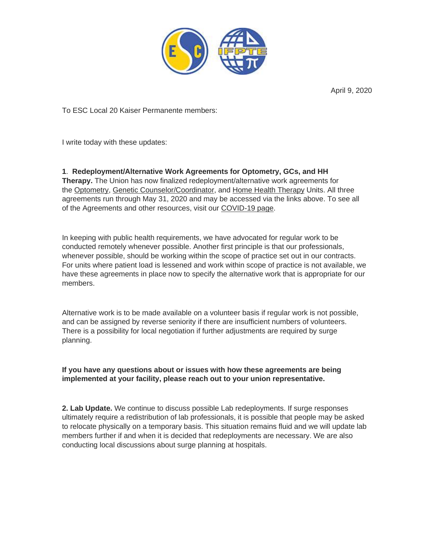

April 9, 2020

To ESC Local 20 Kaiser Permanente members:

I write today with these updates:

**1**. **Redeployment/Alternative Work Agreements for Optometry, GCs, and HH Therapy.** The Union has now finalized redeployment/alternative work agreements for the [Optometry,](https://www.ifpte20.org/kaiser-opt-covid-19/?link_id=0&can_id=d6faca57c795a6ac1827980bd5784387&source=email-kp-updates-alternative-work-agreements-for-opt-gc-hh-therapy-units&email_referrer=&email_subject=kp-updates-alternative-work-agreements-for-opt-gc-hh-therapy-units) Genetic [Counselor/Coordinator,](https://www.ifpte20.org/kaiser-gcc-covid-19/?link_id=1&can_id=d6faca57c795a6ac1827980bd5784387&source=email-kp-updates-alternative-work-agreements-for-opt-gc-hh-therapy-units&email_referrer=&email_subject=kp-updates-alternative-work-agreements-for-opt-gc-hh-therapy-units) and Home Health [Therapy](https://www.ifpte20.org/kaiser-hht-covid-19/?link_id=2&can_id=d6faca57c795a6ac1827980bd5784387&source=email-kp-updates-alternative-work-agreements-for-opt-gc-hh-therapy-units&email_referrer=&email_subject=kp-updates-alternative-work-agreements-for-opt-gc-hh-therapy-units) Units. All three agreements run through May 31, 2020 and may be accessed via the links above. To see all

of the Agreements and other resources, visit our [COVID-19](https://www.ifpte20.org/resources/covid-19/?link_id=3&can_id=d6faca57c795a6ac1827980bd5784387&source=email-kp-updates-alternative-work-agreements-for-opt-gc-hh-therapy-units&email_referrer=&email_subject=kp-updates-alternative-work-agreements-for-opt-gc-hh-therapy-units) page.

In keeping with public health requirements, we have advocated for regular work to be conducted remotely whenever possible. Another first principle is that our professionals, whenever possible, should be working within the scope of practice set out in our contracts. For units where patient load is lessened and work within scope of practice is not available, we have these agreements in place now to specify the alternative work that is appropriate for our members.

Alternative work is to be made available on a volunteer basis if regular work is not possible, and can be assigned by reverse seniority if there are insufficient numbers of volunteers. There is a possibility for local negotiation if further adjustments are required by surge planning.

## **If you have any questions about or issues with how these agreements are being implemented at your facility, please reach out to your union representative.**

**2. Lab Update.** We continue to discuss possible Lab redeployments. If surge responses ultimately require a redistribution of lab professionals, it is possible that people may be asked to relocate physically on a temporary basis. This situation remains fluid and we will update lab members further if and when it is decided that redeployments are necessary. We are also conducting local discussions about surge planning at hospitals.